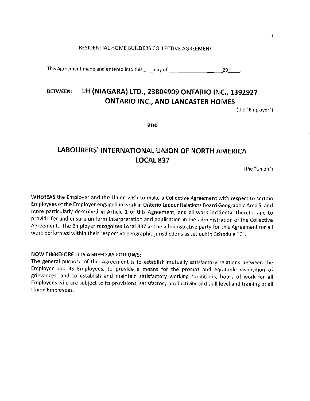## RESIDENTIAL HOME BUILDERS COLLECTIVE AGREEMENT

This Agreement made and entered into this  $\_\_$  day of  $\_\_\_\_\_\_\_\_\_$ 

# **BETWEEN: LH {NIAGARA) LTD., 23804909 ONTARIO INC., 1392927 ONTARIO INC., AND LANCASTER HOMES**

(the "Employer")

**and** 

# **LABOURERS' INTERNATIONAL UNION OF NORTH AMERICA LOCAL837**

(the "Union")

**WHEREAS** the Employer and the Union wish to make a Collective Agreement with respect to certain Employees of the Employer engaged in work in Ontario Labour Relations Board Geographic Area 5, and more particularly described in Article 1 of this Agreement, and all work incidental thereto, and to provide for and ensure uniform interpretation and application in the administration of the Collective Agreement. The Employer recognizes Local 837 as the administrative party for this Agreement for all work performed within their respective geographic jurisdictions as set out in Schedule "C".

#### **NOW THEREFORE IT IS AGREED AS FOLLOWS:**

The general purpose of this Agreement is to establish mutually satisfactory relations between the Employer and its Employees, to provide a means for the prompt and equitable disposition of grievances, and to establish and maintain satisfactory working conditions, hours of work for all Employees who are subject to its provisions, satisfactory productivity and skill level and training of all Union Employees.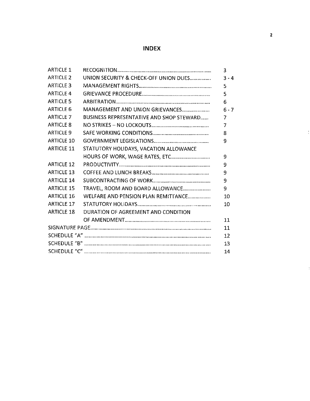## **INDEX**

| <b>ARTICLE 1</b>  |                                          | $\overline{3}$ |
|-------------------|------------------------------------------|----------------|
| <b>ARTICLE 2</b>  | UNION SECURITY & CHECK-OFF UNION DUES    | $3 - 4$        |
| <b>ARTICLE 3</b>  |                                          | 5              |
| <b>ARTICLE 4</b>  |                                          | 5              |
| <b>ARTICLE 5</b>  |                                          | 6              |
| <b>ARTICLE 6</b>  | MANAGEMENT AND UNION GRIEVANCES          | $6 - 7$        |
| <b>ARTICLE 7</b>  | BUSINESS REPRESENTATIVE AND SHOP STEWARD | 7              |
| <b>ARTICLE 8</b>  |                                          | 7              |
| <b>ARTICLE 9</b>  |                                          | 8              |
| <b>ARTICLE 10</b> |                                          | 9              |
| <b>ARTICLE 11</b> | STATUTORY HOLIDAYS, VACATION ALLOWANCE   |                |
|                   |                                          | 9              |
| <b>ARTICLE 12</b> |                                          | 9              |
| <b>ARTICLE 13</b> |                                          | 9              |
| <b>ARTICLE 14</b> |                                          | 9              |
| <b>ARTICLE 15</b> | TRAVEL, ROOM AND BOARD ALLOWANCE         | 9              |
| <b>ARTICLE 16</b> | WELFARE AND PENSION PLAN REMITTANCE      | 10             |
| <b>ARTICLE 17</b> |                                          | 10             |
| <b>ARTICLE 18</b> | DURATION OF AGREEMENT AND CONDITION      |                |
|                   |                                          | 11             |
|                   |                                          |                |
|                   |                                          | 12             |
|                   |                                          | 13             |
|                   |                                          | 14             |

 $\frac{3}{2}$ 

 $\ddot{\cdot}$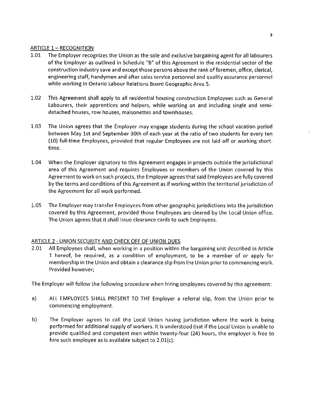## ARTICLE 1- RECOGNITION

- 1.01 The Employer recognizes the Union as the sole and exclusive bargaining agent for all labourers of the Employer as outlined in Schedule "B" of this Agreement in the residential sector of the construction industry save and except those persons above the rank of foremen, office, clerical, engineering staff, handymen and after sales service personnel and quality assurance personnel while working in Ontario Labour Relations Board Geographic Area 5.
- 1.02 This Agreement shall apply to all residential housing construction Employees such as General Labourers, their apprentices and helpers, while working on and including single and semidetached houses, row houses, maisonettes and townhouses.
- 1.03 The Union agrees that the Employer may engage students during the school vacation period between May 1st and September 30th of each year at the ratio of two students for every ten (10) full-time Employees, provided that regular Employees are not laid off or working shorttime.
- 1.04 When the Employer signatory to this Agreement engages in projects outside the jurisdictional area of this Agreement and requires Employees or members of the Union covered by this Agreement to work on such projects, the Employer agrees that said Employees are fully covered by the terms and conditions of this Agreement as if working within the territorial jurisdiction of the Agreement for all work performed.
- 1.05 The Employer may transfer Employees from other geographic jurisdictions into the jurisdiction covered by this Agreement, provided those Employees are cleared by the Local Union office, The Union agrees that it shall issue clearance cards to such Employees.

## ARTICLE 2 - UNION SECURITY AND CHECK OFF OF UNION DUES

2.01 All Employees shall, when working in a position within the bargaining unit described in Article 1 hereof, be required, as a condition of employment, to be a member of or apply for membership in the Union and obtain a clearance slip from the Union prior to commencing work. Provided however;

The Employer will follow the following procedure when hiring employees covered by this agreement:

- a) ALL EMPLOYEES SHALL PRESENT TO THE Employer a referral slip, from the Union prior to commencing employment.
- b) The Employer agrees to call the Local Union having jurisdiction where the work is being performed for additional supply of workers. It is understood that if the Local Union is unable to provide qualified and competent men within twenty-four (24) hours, the employer is free to hire such employee as is available subject to  $2.01(c)$ .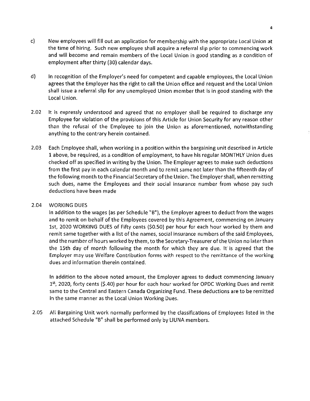- c) New employees will fill out an application for membership with the appropriate Local Union at the time of hiring. Such new employee shall acquire a referral slip prior to commencing work and will become and remain members of the Local Union in good standing as a condition of employment after thirty (30) calendar days.
- d) In recognition of the Employer's need for competent and capable employees, the Local Union agrees that the Employer has the right to call the Union office and request and the Local Union shall issue a referral slip for any unemployed Union member that is in good standing with the Local Union.
- 2.02 It is expressly understood and agreed that no employer shall be required to discharge any Employee for violation of the provisions of this Article for Union Security for any reason other than the refusal of the Employee to join the Union as aforementioned, notwithstanding anything to the contrary herein contained.
- 2.03 Each Employee shall, when working in a position within the bargaining unit described in Article 1 above, be required, as a condition of employment, to have his regular MONTHLY Union dues checked off as specified in writing by the Union. The Employer agrees to make such deductions from the first pay in each calendar month and to remit same not later than the fifteenth day of the following month to the Financial Secretary of the Union. The Employer shall, when remitting such dues, name the Employees and their social insurance number from whose pay such deductions have been made

#### 2.04 WORKING DUES

In addition to the wages (as per Schedule "B"), the Employer agrees to deduct from the wages and to remit on behalf of the Employees covered by this Agreement, commencing on January 1st, 2020 WORKING DUES of Fifty cents (\$0.50) per hour for each hour worked by them and remit same together with a list of the names, social insurance numbers of the said Employees, and the number of hours worked by them, to the Secretary-Treasurer of the Union no later than the 15th day of month following the month for which they are due. It' is agreed that the Employer may use Welfare Contribution forms with respect to the remittance of the working dues and information therein contained.

In addition to the above noted amount, the Employer agrees to deduct commencing January 1<sup>st</sup>, 2020, forty cents (\$.40) per hour for each hour worked for OPDC Working Dues and remit same to the Central and Eastern Canada Organizing Fund. These deductions are to be remitted in the same manner as the Local Union Working Dues.

2.05 All Bargaining Unit work normally performed by the classifications of Employees listed in the attached Schedule "B" shall be performed only by LIUNA members.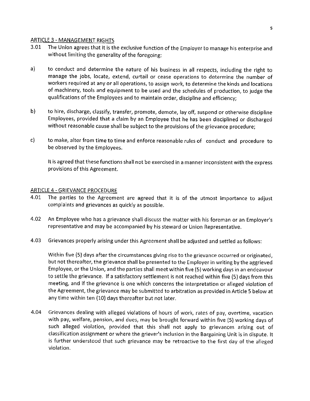#### ARTICLE 3 - MANAGEMENT RIGHTS

- 3.01 The Union agrees that it is the exclusive function of the Employer to manage his enterprise and without limiting the generality of the foregoing:
- a) to conduct and determine the nature of his business in all respects, including the right to manage the jobs, locate, extend, curtail or cease operations to determine the number of workers required at any or all operations, to assign work, to determine the kinds and locations of machinery, tools and equipment to be used and the schedules of production, to judge the qualifications of the Employees and to maintain order, discipline and efficiency;
- b) to hire, discharge, classify, transfer, promote, demote, lay off, suspend or otherwise discipline Employees, provided that a claim by an Employee that he has been disciplined or discharged without reasonable cause shall be subject to the provisions of the grievance procedure;
- c) to make, alter from time to time and enforce reasonable rules of conduct and procedure to be observed by the Employees.

It is agreed that these functions shall not be exercised in a manner inconsistent with the express provisions of this Agreement.

#### ARTICLE 4 - GRIEVANCE PROCEDURE

- 4.01 The parties to the Agreement are agreed that it is of the utmost importance to adjust complaints and grievances as quickly as possible.
- 4.02 An Employee who has a grievance shall discuss the matter with his foreman or an Employer's representative and may be accompanied by his steward or Union Representative.
- 4.03 Grievances properly arising under this Agreement shall be adjusted and settled as follows:

Within five (5) days after the circumstances giving rise to the grievance occurred or originated, but not thereafter, the grievance shall be presented to the Employer in writing by the aggrieved Employee, or the Union, and the parties shall meet within five (5) working days in an endeavour to settle the grievance. If a satisfactory settlement is not reached within five (5) days from this meeting, and if the grievance is one which concerns the interpretation or alleged violation of the Agreement, the grievance may be submitted to arbitration as provided in Article 5 below at any time within ten (10) days thereafter but not later.

4.04 Grievances dealing with alleged violations of hours of work, rates of pay, overtime, vacation with pay, welfare, pension, and dues, may be brought forward within five (5) working days of such alleged violation, provided that this shall not apply to grievances arising out of classification assignment or where the griever's inclusion in the Bargaining Unit is in dispute. It is further understood that such grievance may be retroactive to the first day of the alleged violation.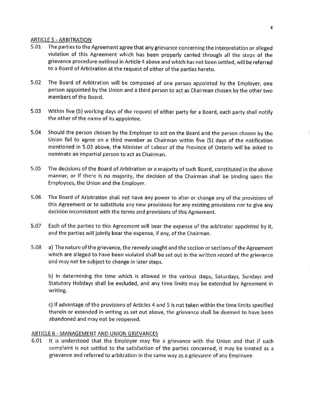#### ARTICLE 5 -ARBITRATION

- 5.01 The parties to the Agreement agree that any grievance concerning the interpretation or alleged violation of this Agreement which has been properly carried through all the steps of the grievance procedure outlined in Article 4 above and which has not been settled, will be referred to a Board of Arbitration at the request of either of the parties hereto.
- 5.02 The Board of Arbitration will be composed of one person appointed by the Employer, one person appointed by the Union and a third person to act as Chairman chosen by the other two members of the Board.
- 5.03 Within five (5) working days of the request of either party for a Board, each party shall notify the other of the name of its appointee.
- 5.04 Should the person chosen by the Employer to act on the Board and the person chosen by the Union fail to agree on a third member as Chairman within five (5) days of the notification mentioned in 5.03 above, the Minister of Labour of the Province of Ontario will be asked to nominate an impartial person to act as Chairman.
- 5.05 The decisions of the Board of Arbitration or a majority of such Board, constituted in the above manner, or if there is no majority, the decision of the Chairman shall be binding upon the Employees, the Union and the Employer.
- 5.06 The Board of Arbitration shall not have any power to alter or change any of the provisions of this Agreement or to substitute any new provisions for any existing provisions nor to give any decision inconsistent with the terms and provisions of this Agreement.
- 5.07 Each of the parties to this Agreement will bear the expense of the arbitrator appointed by it, and the parties will jointly bear the expense, if any, of the Chairman.
- 5.08 a) The nature of the grievance, the remedy sought and the section or sections of the Agreement which are alleged to have been violated shall be set out in the written record of the grievance and may not be subject to change in later steps.

b) In determining the time which is allowed in the various steps, Saturdays, Sundays and Statutory Holidays shall be excluded, and any time limits may be extended by Agreement in writing.

c) If advantage of the provisions of Articles 4 and 5 is not taken within the time limits specified therein or extended in writing as set out above, the grievance shall be deemed to have been abandoned and may not be reopened.

#### ARTICLE 6 - MANAGEMENT AND UNION GRIEVANCES

6.01 It is understood that the Employer may file a grievance with the Union and that if such complaint is not settled to the satisfaction of the parties concerned, it may be treated as a grievance and referred to arbitration in the same way as a grievance of any Employee.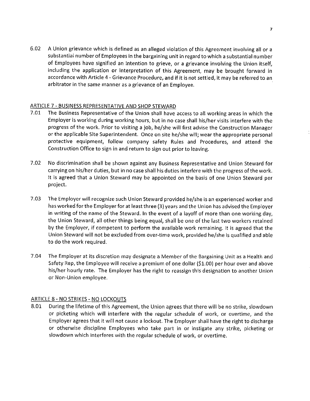6.02 A Union grievance which is defined as an alleged violation of this Agreement involving all or a substantial number of Employees in the bargaining unit in regard to which a substantial number of Employees have signified an intention to grieve, or a grievance involving the Union itself, including the application or interpretation of this Agreement, may be brought forward in accordance with Article 4 - Grievance Procedure, and if it is not settled, it may be referred to an arbitrator in the same manner as a grievance of an Employee.

## ARTICLE 7 - BUSINESS REPRESENTATIVE AND SHOP STEWARD

- 7.01 The Business Representative of the Union shall have access to all working areas in which the Employer is working during working hours, but in no case shall his/her visits interfere with the progress of the work. Prior to visiting a job, he/she will first advise the Construction Manager or the applicable Site Superintendent. Once on site he/she will; wear the appropriate personal protective equipment, follow company safety Rules and Procedures, and attend the Construction Office to sign in and return to sign out prior to leaving.
- 7.02 No discrimination shall be shown against any Business Representative and Union Steward for carrying on his/her duties, but in no case shall his duties interfere with the progress of the work. It is agreed that a Union Steward may be appointed on the basis of one Union Steward per project.
- 7.03 The Employer will recognize such Union Steward provided he/she is an experienced worker and has worked for the Employer for at least three (3) years and the Union has advised the Employer in writing of the name of the Steward. In the event of a layoff of more than one working day, the Union Steward, all other things being equal, shall be one of the last two workers retained by the Employer, if competent to perform the available work remaining. It is agreed that the Union Steward will not be excluded from over-time work, provided he/she is qualified and able to do the work required.
- 7.04 The Employer at its discretion may designate a Member of the Bargaining Unit as a Health and Safety Rep, the Employee will receive a premium of one dollar {\$1.00) per hour over and above his/her hourly rate. The Employer has the right to reassign this designation to another Union or Non-Union employee.

## ARTICLE 8 - NO STRIKES - NO LOCKOUTS

8.01 During the lifetime of this Agreement, the Union agrees that there will be no strike, slowdown or picketing which will interfere with the regular schedule of work, or overtime, and the Employer agrees that it will not cause a lockout. The Employer shall have the right to discharge or otherwise discipline Employees who take part in or instigate any strike, picketing or slowdown which interferes with the regular schedule of work, or overtime.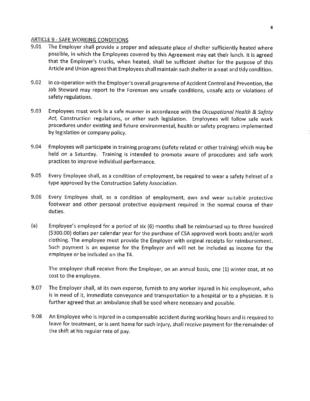#### ARTICLE 9 - SAFE WORKING CONDITIONS

- 9.01 The Employer shall provide a proper and adequate place of shelter sufficiently heated where possible, in which the Employees covered by this Agreement may eat their lunch. It is agreed that the Employer's trucks, when heated, shall be sufficient shelter for the purpose of this Article and Union agrees that Employees shall maintain such shelter in a neat and tidy condition.
- 9.02 In co-operation with the Employer's overall programme of Accident Control and Prevention, the Job Steward may report to the Foreman any unsafe conditions, unsafe acts or violations of safety regulations.
- 9.03 Employees must work in a safe manner in accordance with the *Occupational Health* & *Safety Act,* Construction regulations, or other such legislation. Employees will follow safe work procedures under existing and future environmental, health or safety programs implemented by legislation or company policy.
- 9.04 Employees will participate in training programs (safety related or other training) which may be held on a Saturday. Training is intended to promote aware of procedures and safe work practices to improve individual performance.
- 9.05 Every Employee shall, as a condition of employment, be required to wear a safety helmet of a type approved by the Construction Safety Association.
- 9.06 Every Employee shall, as a condition of employment, own and wear suitable protective footwear and other personal protective equipment required in the normal course of their duties.
- (a) Employee's employed for a period of six (6) months shall be reimbursed up to three hundred (\$300.00) dollars per calendar year for the purchase of CSA approved work boots and/or work clothing. The employee must provide the Employer with original receipts for reimbursement. Such payment is an expense for the Employer and will not be included as income for the employee or be included on the T4.

The employee shall receive from the Employer, on an annual basis, one (1) winter coat, at no cost to the employee.

- 9.07 The Employer shall, at its own expense, furnish to any worker injured in his employment, who is in need of it, immediate conveyance and transportation to a hospital or to a physician. It is further agreed that an ambulance shall be used where necessary and possible.
- 9.08 An Employee who is injured in a compensable accident during working hours and is required to leave for treatment, or is sent home for such injury, shall receive payment for the remainder of the shift at his regular rate of pay.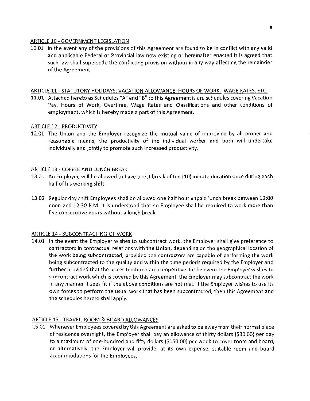#### ARTICLE 10 - GOVERNMENT LEGISLATION

10.01 In the event any of the provisions of this Agreement are found to be in conflict with any valid and applicable Federal or Provincial law now existing or hereinafter enacted it is agreed that such law shall supersede the conflicting provision without in any way affecting the remainder of the Agreement.

## ARTICLE 11- STATUTORY HOLIDAYS, VACATION ALLOWANCE, HOURS OF WORK, WAGE RATES, ETC.

11.01 Attached hereto as Schedules "A" and "B" to this Agreement is are schedules covering Vacation Pay, Hours of Work, Overtime, Wage Rates and Classifications and other conditions of employment, which is hereby made a part of this Agreement.

## ARTICLE 12 - PRODUCTIVITY

12.01 The Union and the Employer recognize the mutual value of improving by all proper and reasonable means, the productivity of the individual worker and both will undertake individually and jointly to promote such increased productivity.

## ARTICLE 13 - COFFEE AND LUNCH BREAK

- 13.01 An Employee will be allowed to have a rest break of ten (10) minute duration once during each half of his working shift.
- 13.02 Regular day shift Employees shall be allowed one half hour unpaid lunch break between 12:00 noon and 12:30 P.M. It is understood that no Employee shall be required to work more than five consecutive hours without a lunch break.

## ARTICLE 14 - SUBCONTRACTING OF WORK

14.01 In the event the Employer wishes to subcontract work, the Employer shall give preference to contractors in contractual relations with **the Union,** depending on the geographical location of the work being subcontracted, provided the contractors are capable of performing the work being subcontracted to the quality and within the time periods required by the Employer and further provided that the prices tendered are competitive. In the event the Employer wishes to subcontract work which is covered by this Agreement, the Employer may subcontract the work in any manner it sees fit if the above conditions are not met. If the Employer wishes to use its own forces to perform the usual work that has been subcontracted, then this Agreement and the schedules hereto shall apply.

## ARTICLE 15 - TRAVEL, ROOM & BOARD ALLOWANCES

15.01 Whenever Employees covered by this Agreement are asked to be away from their normal place of residence overnight, the Employer shall pay an allowance of thirty dollars (\$30.00) per day to a maximum of one-hundred and fifty dollars (\$150.00) per week to cover room and board, or alternatively, the Employer will provide, at its own expense, suitable room and board accommodations for the Employees.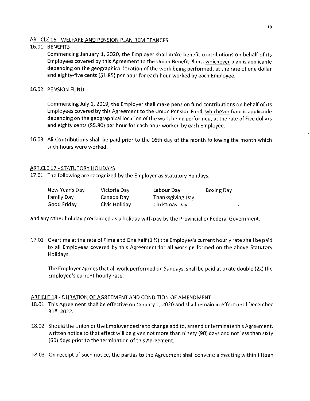## ARTICLE 16 - WELFARE AND PENSION PLAN REMITTANCES

## 16.01 BENEFITS

Commencing January 1, 2020, the Employer shall make benefit contributions on behalf of its Employees covered by this Agreement to the Union Benefit Plans, whichever plan is applicable depending on the geographical location of the work being performed, at the rate of one dollar and eighty-five cents (\$1.85) per hour for each hour worked by each Employee.

## 16.02 PENSION FUND

Commencing July 1, 2019, the Employer shall make pension fund contributions on behalf of its Employees covered by this Agreement to the Union Pension Fund, whichever fund is applicable depending on the geographical location of the work being performed, at the rate of Five dollars and eighty cents (\$5.80) per hour for each hour worked by each Employee.

16.03 All Contributions shall be paid prior to the 16th day of the month following the month which such hours were worked.

## ARTICLE 17 - STATUTORY HOLIDAYS

17.01 The following are recognized by the Employer as Statutory Holidays:

| New Year's Day | Victoria Day  | Labour Day       | <b>Boxing Day</b> |
|----------------|---------------|------------------|-------------------|
| Family Day     | Canada Day    | Thanksgiving Day |                   |
| Good Friday    | Civic Holiday | Christmas Day    |                   |

and any other holiday proclaimed as a holiday with pay by the Provincial or Federal Government.

17.02 Overtime at the rate of Time and One half (1 ½) the Employee's current hourly rate shall be paid to all Employees covered by this Agreement for all work performed on the above Statutory Holidays.

The Employer agrees that all work performed on Sundays, shall be paid at a rate double (2x) the Employee's current hourly rate.

#### ARTICLE 18 - DURATION OF AGREEMENT AND CONDITION OF AMENDMENT

- 18.01 This Agreement shall be effective on January 1, 2020 and shall remain in effect until December 31st<sub>2</sub> 2022.
- 18.02 Should the Union or the Employer desire to change add to, amend or terminate this Agreement, written notice to that effect will be given not more than ninety (90) days and not less than sixty (60) days prior to the termination of this Agreement.
- 18.03 On receipt of such notice, the parties to the Agreement shall convene a meeting within fifteen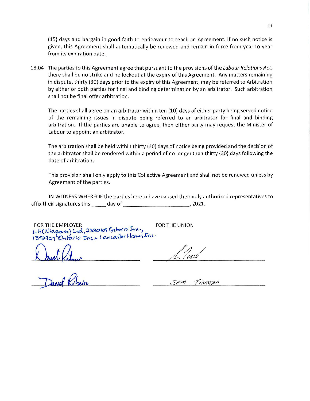(15) days and bargain in good faith to endeavour to reach an Agreement. If no such notice is given, this Agreement shall automatically be renewed and remain in force from year to year from its expiration date.

18.04 The parties to this Agreement agree that pursuant to the provisions of the Labour Relations Act, there shall be no strike and no lockout at the expiry of this Agreement. Any matters remaining in dispute, thirty (30) days prior to the expiry of this Agreement, may be referred to Arbitration by either or both parties for final and binding determination by an arbitrator. Such arbitration shall not be final offer arbitration.

The parties shall agree on an arbitrator within ten (10) days of either party being served notice of the remaining issues in dispute being referred to an arbitrator for final and binding arbitration. If the parties are unable to agree, then either party may request the Minister of Labour to appoint an arbitrator.

The arbitration shall be held within thirty (30) days of notice being provided and the decision of the arbitrator shall be rendered within a period of no longer than thirty (30) days following the date of arbitration.

This provision shall only apply to this Collective Agreement and shall not be renewed unless by Agreement of the parties.

IN WITNESS WHEREOF the parties hereto have caused their duly authorized representatives to affix their signatures this \_\_\_\_\_ day of \_\_\_\_\_\_\_\_\_\_\_\_\_\_\_\_\_\_\_\_, 2021.

FOR THE EMPLOYER FOR THE UNION FOR THE EMPLOYER<br>LH(Niagara) Ltd, 2380409 Ontario Inc.,<br>1392921 Ontario Inc,+ Lancaster Homes Inc.

Klaud Kilmi

 $50<sub>m</sub>$ TINEBRA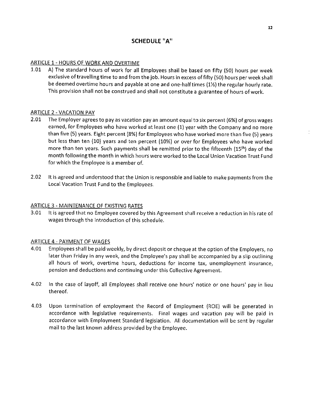## **SCHEDULE "A"**

## ARTICLE 1- HOURS OF WORK AND OVERTIME

1.01 A) The standard hours of work for all Employees shall be based on fifty (SO) hours per week exclusive of travelling time to and from the job. Hours in excess of fifty (SO) hours per week shall be deemed overtime hours and payable at one and one-halftimes (1½) the regular hourly rate. This provision shall not be construed and shall not constitute a guarantee of hours of work.

## ARTICLE 2 - VACATION PAY

- 2.01 The Employer agrees to pay as vacation pay an amount equal to six percent (6%) of gross wages earned, for Employees who have worked at least one (1) year with the Company and no more than five (S) years. Eight percent (8%) for Employees who have worked more than five (5) years but less than ten (10) years and ten percent (10%) or over for Employees who have worked more than ten years. Such payments shall be remitted prior to the fifteenth (15<sup>th</sup>) day of the month following the month in which hours were worked to the Local Union Vacation Trust Fund for which the Employee is a member of.
- 2.02 It is agreed and understood that the Union is responsible and liable to make payments from the Local Vacation Trust Fund to the Employees.

#### ARTICLE 3 - MAINTENANCE OF EXISTING RATES

3.01 It is agreed that no Employee covered by this Agreement shall receive a reduction in his rate of wages through the introduction of this schedule.

#### ARTICLE 4 - PAYMENT OF WAGES

- 4.01 Employees shall be paid weekly, by direct deposit or cheque at the option of the Employers, no later than Friday in any week, and the Employee's pay shall be accompanied by a slip outlining all hours of work, overtime hours, deductions for income tax, unemployment insurance, pension and deductions and continuing under this Collective Agreement.
- 4.02 In the case of layoff, all Employees shall receive one hours' notice or one hours' pay in lieu thereof.
- 4.03 Upon termination of employment the Record of Employment (ROE) will be generated in accordance with legislative requirements. Final wages and vacation pay will be paid in accordance with Employment Standard legislation. All documentation will be sent by regular mail to the last known address provided by the Employee.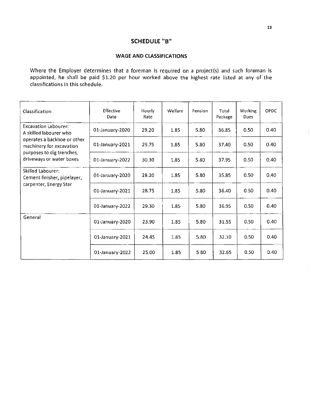## **SCHEDULE "B"**

#### **WAGE AND CLASSIFICATIONS**

Where the Employer determines that a foreman is required on a project(s) and such foreman is appointed, he shall be paid \$1.20 per hour worked above the highest rate listed at any of the classifications in this schedule.

| Classification                                          | Effective<br>Date | <b>Hourly</b><br>Rate | Welfare | Pension | Total<br>Package | <b>Working</b><br>Dues | OPDC |
|---------------------------------------------------------|-------------------|-----------------------|---------|---------|------------------|------------------------|------|
| <b>Excavation Labourer:</b><br>A skilled labourer who   | 01-January-2020   | 29.20                 | 1.85    | 5.80    | 36.85            | 0.50                   | 0.40 |
| operates a backhoe or other<br>machinery for excavation | 01-January-2021   | 29.75                 | 1.85    | 5.80    | 37.40            | 0.50                   | 0.40 |
| purposes to dig trenches,<br>driveways or water boxes   | 01-January-2022   | 30.30                 | 1.85    | 5.80    | 37.95            | 0.50                   | 0.40 |
| <b>Skilled Labourer:</b><br>Cement finisher, pipelayer, | 01-January 2020   | 28.20                 | 1.85    | 5.80    | 35.85            | 0.50                   | 0.40 |
| carpenter, Energy Star                                  | 01-January-2021   | 28.75                 | 1.85    | 5.80    | 36.40            | 0.50                   | 0.40 |
|                                                         | 01-January-2022   | 29.30                 | 1.85    | 5.80    | 36.95            | 0.50                   | 0.40 |
| General                                                 | 01-January-2020   | 23.90                 | 1.85    | 5.80    | 31.55            | 0.50                   | 0.40 |
|                                                         | 01-January-2021   | 24.45                 | 1.85    | 5.80    | 32.10            | 0.50                   | 0.40 |
|                                                         | 01-January-2022   | 25.00                 | 1.85    | 5.80    | 32.65            | 0.50                   | 0.40 |

 $\frac{1}{2}$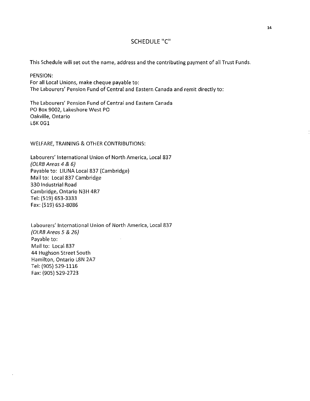## SCHEDULE "C"

This Schedule will set out the name, address and the contributing payment of all Trust Funds.

PENSION: For all Local Unions, make cheque payable to: The Labourers' Pension Fund of Central and Eastern Canada and remit directly to:

The Labourers' Pension Fund of Central and Eastern Canada PO Box 9002, Lakeshore West PO Oakville, Ontario L6K OGl

WELFARE, TRAINING & OTHER CONTRIBUTIONS:

Labourers' International Union of North America, Local 837 {OLRB Areas 4 & 6) Payable to: LIUNA Local 837 (Cambridge) Mail to: Local 837 Cambridge 330 Industrial Road Cambridge, Ontario N3H 4R7 Tel: (519) 653-3333 Fax: (519) 653-8086

Labourers' International Union of North America, Local 837 {OLRB Areas 5 & 26) Payable to:  $\overline{\phantom{a}}$ Mail to: Local 837 44 Hughson Street South Hamilton, Ontario L8N 2A7 Tel: (905) 529-1116 Fax: (905) 529-2723